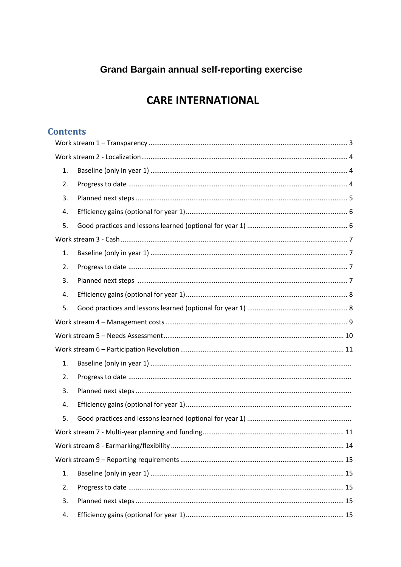# **Grand Bargain annual self-reporting exercise**

# **CARE INTERNATIONAL**

## **Contents**

| 1. |  |  |
|----|--|--|
| 2. |  |  |
| 3. |  |  |
| 4. |  |  |
| 5. |  |  |
|    |  |  |
| 1. |  |  |
| 2. |  |  |
| 3. |  |  |
| 4. |  |  |
| 5. |  |  |
|    |  |  |
|    |  |  |
|    |  |  |
| 1. |  |  |
| 2. |  |  |
| 3. |  |  |
| 4. |  |  |
| 5. |  |  |
|    |  |  |
|    |  |  |
|    |  |  |
| 1. |  |  |
| 2. |  |  |
| 3. |  |  |
| 4. |  |  |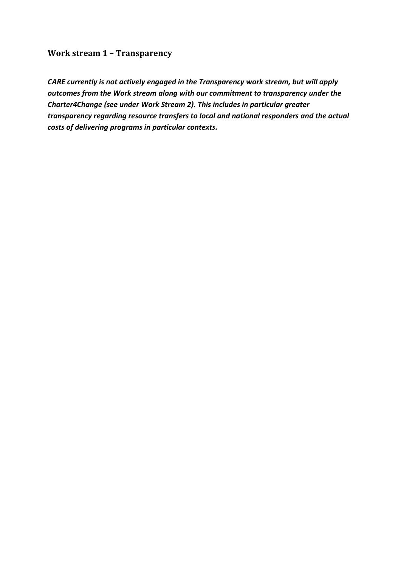## <span id="page-2-0"></span>**Work stream 1 – Transparency**

*CARE currently is not actively engaged in the Transparency work stream, but will apply outcomes from the Work stream along with our commitment to transparency under the Charter4Change (see under Work Stream 2). This includes in particular greater transparency regarding resource transfers to local and national responders and the actual costs of delivering programs in particular contexts.*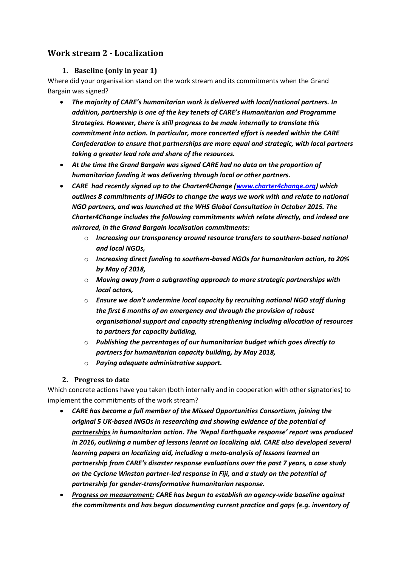#### <span id="page-3-1"></span><span id="page-3-0"></span>**Work stream 2 - Localization**

#### **1. Baseline (only in year 1)**

Where did your organisation stand on the work stream and its commitments when the Grand Bargain was signed?

- The majority of CARE's humanitarian work is delivered with local/national partners. In *addition, partnership is one of the key tenets of CARE's Humanitarian and Programme Strategies. However, there is still progress to be made internally to translate this commitment into action. In particular, more concerted effort is needed within the CARE Confederation to ensure that partnerships are more equal and strategic, with local partners taking a greater lead role and share of the resources.*
- *At the time the Grand Bargain was signed CARE had no data on the proportion of humanitarian funding it was delivering through local or other partners.*
- *CARE had recently signed up to the Charter4Change [\(www.charter4change.org\)](http://www.charter4change.org/) which outlines 8 commitments of INGOs to change the ways we work with and relate to national NGO partners, and was launched at the WHS Global Consultation in October 2015. The Charter4Change includes the following commitments which relate directly, and indeed are mirrored, in the Grand Bargain localisation commitments:* 
	- o *Increasing our transparency around resource transfers to southern-based national and local NGOs,*
	- o *Increasing direct funding to southern-based NGOs for humanitarian action, to 20% by May of 2018,*
	- o *Moving away from a subgranting approach to more strategic partnerships with local actors,*
	- o *Ensure we don't undermine local capacity by recruiting national NGO staff during the first 6 months of an emergency and through the provision of robust organisational support and capacity strengthening including allocation of resources to partners for capacity building,*
	- o *Publishing the percentages of our humanitarian budget which goes directly to partners for humanitarian capacity building, by May 2018,*
	- o *Paying adequate administrative support.*

#### **2. Progress to date**

<span id="page-3-2"></span>Which concrete actions have you taken (both internally and in cooperation with other signatories) to implement the commitments of the work stream?

- *CARE has become a full member of the Missed Opportunities Consortium, joining the original 5 UK-based INGOs in researching and showing evidence of the potential of partnerships in humanitarian action. The 'Nepal Earthquake response' report was produced in 2016, outlining a number of lessons learnt on localizing aid. CARE also developed several learning papers on localizing aid, including a meta-analysis of lessons learned on partnership from CARE's disaster response evaluations over the past 7 years, a case study on the Cyclone Winston partner-led response in Fiji, and a study on the potential of partnership for gender-transformative humanitarian response.*
- *Progress on measurement: CARE has begun to establish an agency-wide baseline against the commitments and has begun documenting current practice and gaps (e.g. inventory of*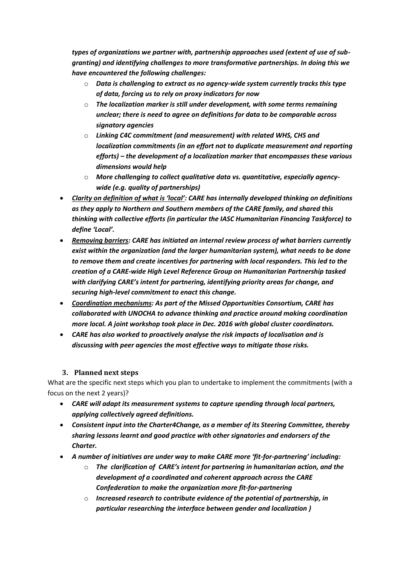*types of organizations we partner with, partnership approaches used (extent of use of subgranting) and identifying challenges to more transformative partnerships. In doing this we have encountered the following challenges:*

- o *Data is challenging to extract as no agency-wide system currently tracks this type of data, forcing us to rely on proxy indicators for now*
- o *The localization marker is still under development, with some terms remaining unclear; there is need to agree on definitions for data to be comparable across signatory agencies*
- o *Linking C4C commitment (and measurement) with related WHS, CHS and localization commitments (in an effort not to duplicate measurement and reporting efforts) – the development of a localization marker that encompasses these various dimensions would help*
- o *More challenging to collect qualitative data vs. quantitative, especially agencywide (e.g. quality of partnerships)*
- *Clarity on definition of what is 'local': CARE has internally developed thinking on definitions as they apply to Northern and Southern members of the CARE family, and shared this thinking with collective efforts (in particular the IASC Humanitarian Financing Taskforce) to define 'Local'.*
- *Removing barriers: CARE has initiated an internal review process of what barriers currently exist within the organization (and the larger humanitarian system), what needs to be done to remove them and create incentives for partnering with local responders. This led to the creation of a CARE-wide High Level Reference Group on Humanitarian Partnership tasked with clarifying CARE's intent for partnering, identifying priority areas for change, and securing high-level commitment to enact this change.*
- *Coordination mechanisms: As part of the Missed Opportunities Consortium, CARE has collaborated with UNOCHA to advance thinking and practice around making coordination more local. A joint workshop took place in Dec. 2016 with global cluster coordinators.*
- *CARE has also worked to proactively analyse the risk impacts of localisation and is discussing with peer agencies the most effective ways to mitigate those risks.*

#### **3. Planned next steps**

<span id="page-4-0"></span>What are the specific next steps which you plan to undertake to implement the commitments (with a focus on the next 2 years)?

- *CARE will adapt its measurement systems to capture spending through local partners, applying collectively agreed definitions.*
- *Consistent input into the Charter4Change, as a member of its Steering Committee, thereby sharing lessons learnt and good practice with other signatories and endorsers of the Charter.*
- *A number of initiatives are under way to make CARE more 'fit-for-partnering' including:* 
	- o *The clarification of CARE's intent for partnering in humanitarian action, and the development of a coordinated and coherent approach across the CARE Confederation to make the organization more fit-for-partnering*
	- o *Increased research to contribute evidence of the potential of partnership, in particular researching the interface between gender and localization )*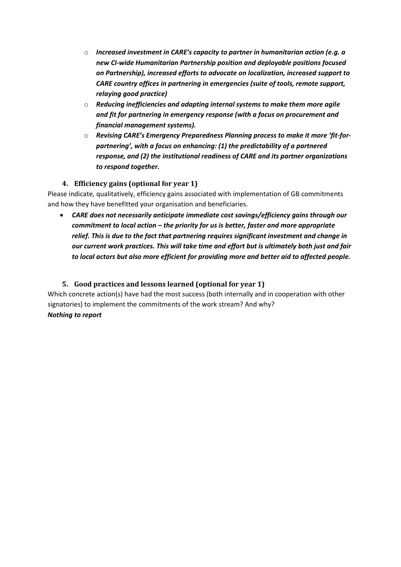- o *Increased investment in CARE's capacity to partner in humanitarian action (e.g. a new CI-wide Humanitarian Partnership position and deployable positions focused on Partnership), increased efforts to advocate on localization, increased support to CARE country offices in partnering in emergencies (suite of tools, remote support, relaying good practice)*
- o *Reducing inefficiencies and adapting internal systems to make them more agile and fit for partnering in emergency response (with a focus on procurement and financial management systems).*
- o *Revising CARE's Emergency Preparedness Planning process to make it more 'fit-forpartnering', with a focus on enhancing: (1) the predictability of a partnered response, and (2) the institutional readiness of CARE and its partner organizations to respond together.*

#### **4. Efficiency gains (optional for year 1)**

<span id="page-5-0"></span>Please indicate, qualitatively, efficiency gains associated with implementation of GB commitments and how they have benefitted your organisation and beneficiaries.

 *CARE does not necessarily anticipate immediate cost savings/efficiency gains through our commitment to local action – the priority for us is better, faster and more appropriate relief. This is due to the fact that partnering requires significant investment and change in our current work practices. This will take time and effort but is ultimately both just and fair to local actors but also more efficient for providing more and better aid to affected people.* 

#### <span id="page-5-1"></span>**5. Good practices and lessons learned (optional for year 1)**

Which concrete action(s) have had the most success (both internally and in cooperation with other signatories) to implement the commitments of the work stream? And why? *Nothing to report*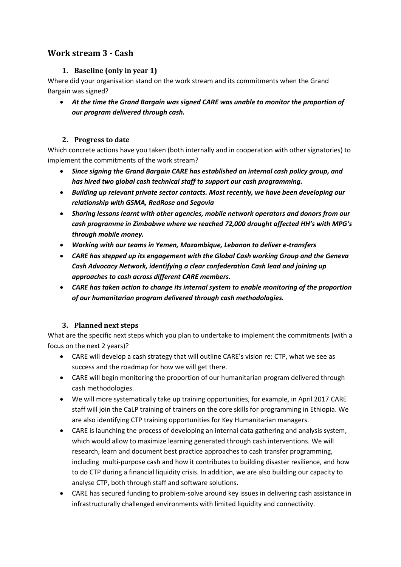### <span id="page-6-1"></span><span id="page-6-0"></span>**Work stream 3 - Cash**

#### **1. Baseline (only in year 1)**

Where did your organisation stand on the work stream and its commitments when the Grand Bargain was signed?

 *At the time the Grand Bargain was signed CARE was unable to monitor the proportion of our program delivered through cash.* 

#### **2. Progress to date**

<span id="page-6-2"></span>Which concrete actions have you taken (both internally and in cooperation with other signatories) to implement the commitments of the work stream?

- *Since signing the Grand Bargain CARE has established an internal cash policy group, and has hired two global cash technical staff to support our cash programming.*
- *Building up relevant private sector contacts. Most recently, we have been developing our relationship with GSMA, RedRose and Segovia*
- *Sharing lessons learnt with other agencies, mobile network operators and donors from our cash programme in Zimbabwe where we reached 72,000 drought affected HH's with MPG's through mobile money.*
- *Working with our teams in Yemen, Mozambique, Lebanon to deliver e-transfers*
- *CARE has stepped up its engagement with the Global Cash working Group and the Geneva Cash Advocacy Network, identifying a clear confederation Cash lead and joining up approaches to cash across different CARE members.*
- *CARE has taken action to change its internal system to enable monitoring of the proportion of our humanitarian program delivered through cash methodologies.*

#### **3. Planned next steps**

<span id="page-6-3"></span>What are the specific next steps which you plan to undertake to implement the commitments (with a focus on the next 2 years)?

- CARE will develop a cash strategy that will outline CARE's vision re: CTP, what we see as success and the roadmap for how we will get there.
- CARE will begin monitoring the proportion of our humanitarian program delivered through cash methodologies.
- We will more systematically take up training opportunities, for example, in April 2017 CARE staff will join the CaLP training of trainers on the core skills for programming in Ethiopia. We are also identifying CTP training opportunities for Key Humanitarian managers.
- CARE is launching the process of developing an internal data gathering and analysis system, which would allow to maximize learning generated through cash interventions. We will research, learn and document best practice approaches to cash transfer programming, including multi-purpose cash and how it contributes to building disaster resilience, and how to do CTP during a financial liquidity crisis. In addition, we are also building our capacity to analyse CTP, both through staff and software solutions.
- CARE has secured funding to problem-solve around key issues in delivering cash assistance in infrastructurally challenged environments with limited liquidity and connectivity.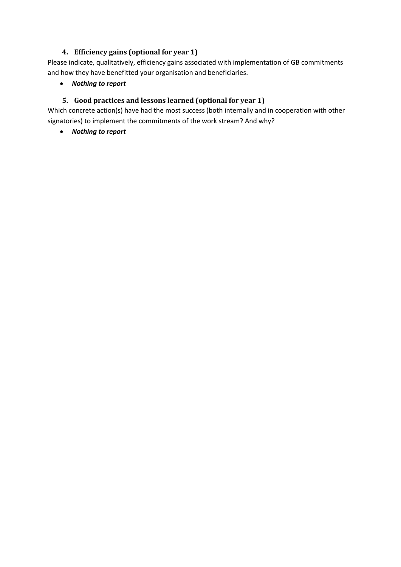#### **4. Efficiency gains (optional for year 1)**

<span id="page-7-0"></span>Please indicate, qualitatively, efficiency gains associated with implementation of GB commitments and how they have benefitted your organisation and beneficiaries.

#### <span id="page-7-1"></span>*Nothing to report*

#### **5. Good practices and lessons learned (optional for year 1)**

Which concrete action(s) have had the most success (both internally and in cooperation with other signatories) to implement the commitments of the work stream? And why?

*Nothing to report*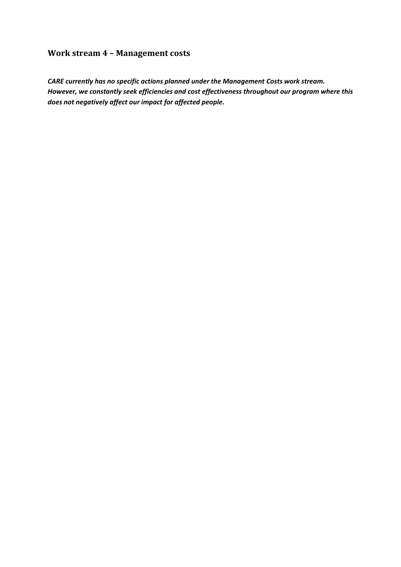## <span id="page-8-0"></span>**Work stream 4 – Management costs**

*CARE currently has no specific actions planned under the Management Costs work stream. However, we constantly seek efficiencies and cost effectiveness throughout our program where this does not negatively affect our impact for affected people.*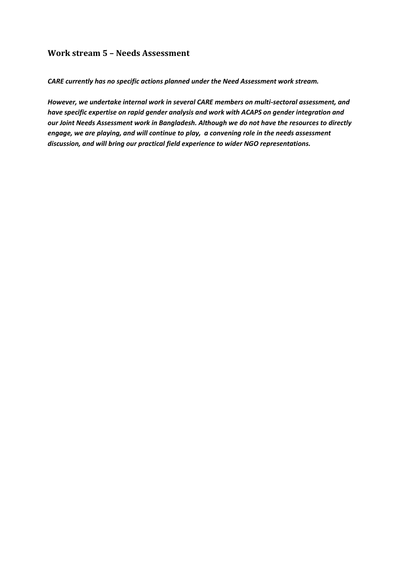#### <span id="page-9-0"></span>**Work stream 5 – Needs Assessment**

*CARE currently has no specific actions planned under the Need Assessment work stream.* 

*However, we undertake internal work in several CARE members on multi-sectoral assessment, and have specific expertise on rapid gender analysis and work with ACAPS on gender integration and our Joint Needs Assessment work in Bangladesh. Although we do not have the resources to directly engage, we are playing, and will continue to play, a convening role in the needs assessment discussion, and will bring our practical field experience to wider NGO representations.*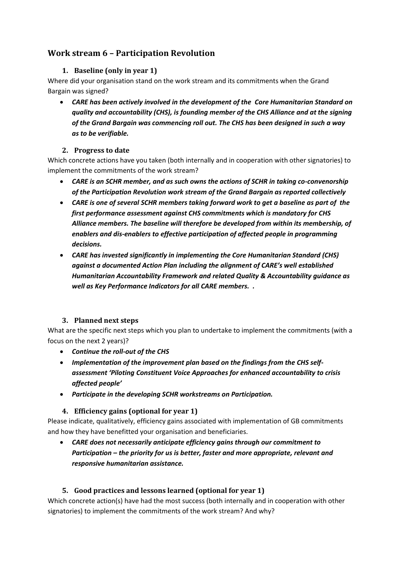## <span id="page-10-1"></span><span id="page-10-0"></span>**Work stream 6 – Participation Revolution**

#### **1. Baseline (only in year 1)**

Where did your organisation stand on the work stream and its commitments when the Grand Bargain was signed?

 *CARE has been actively involved in the development of the Core Humanitarian Standard on quality and accountability (CHS), is founding member of the CHS Alliance and at the signing of the Grand Bargain was commencing roll out. The CHS has been designed in such a way as to be verifiable.* 

#### **2. Progress to date**

Which concrete actions have you taken (both internally and in cooperation with other signatories) to implement the commitments of the work stream?

- *CARE is an SCHR member, and as such owns the actions of SCHR in taking co-convenorship of the Participation Revolution work stream of the Grand Bargain as reported collectively*
- *CARE is one of several SCHR members taking forward work to get a baseline as part of the first performance assessment against CHS commitments which is mandatory for CHS Alliance members. The baseline will therefore be developed from within its membership, of enablers and dis-enablers to effective participation of affected people in programming decisions.*
- *CARE has invested significantly in implementing the Core Humanitarian Standard (CHS) against a documented Action Plan including the alignment of CARE's well established Humanitarian Accountability Framework and related Quality & Accountability guidance as well as Key Performance Indicators for all CARE members. .*

#### **3. Planned next steps**

What are the specific next steps which you plan to undertake to implement the commitments (with a focus on the next 2 years)?

- *Continue the roll-out of the CHS*
- *Implementation of the improvement plan based on the findings from the CHS selfassessment 'Piloting Constituent Voice Approaches for enhanced accountability to crisis affected people'*
- *Participate in the developing SCHR workstreams on Participation.*

#### **4. Efficiency gains (optional for year 1)**

Please indicate, qualitatively, efficiency gains associated with implementation of GB commitments and how they have benefitted your organisation and beneficiaries.

 *CARE does not necessarily anticipate efficiency gains through our commitment to Participation – the priority for us is better, faster and more appropriate, relevant and responsive humanitarian assistance.* 

#### **5. Good practices and lessons learned (optional for year 1)**

Which concrete action(s) have had the most success (both internally and in cooperation with other signatories) to implement the commitments of the work stream? And why?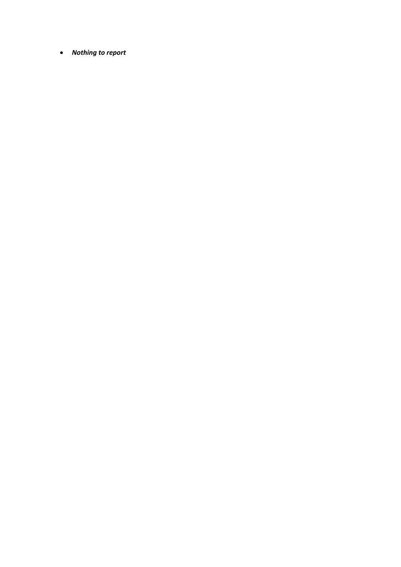*Nothing to report*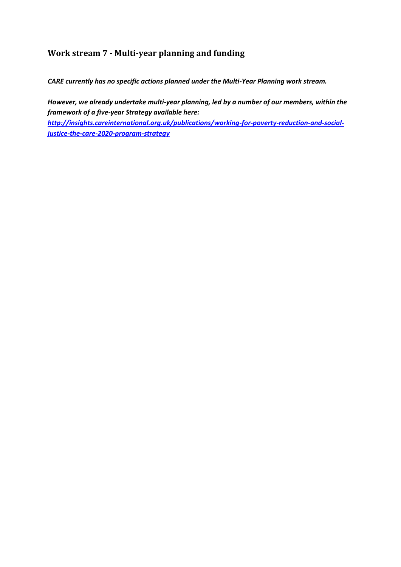## **Work stream 7 - Multi-year planning and funding**

*CARE currently has no specific actions planned under the Multi-Year Planning work stream.* 

*However, we already undertake multi-year planning, led by a number of our members, within the framework of a five-year Strategy available here:* 

*[http://insights.careinternational.org.uk/publications/working-for-poverty-reduction-and-social](http://insights.careinternational.org.uk/publications/working-for-poverty-reduction-and-social-justice-the-care-2020-program-strategy)[justice-the-care-2020-program-strategy](http://insights.careinternational.org.uk/publications/working-for-poverty-reduction-and-social-justice-the-care-2020-program-strategy)*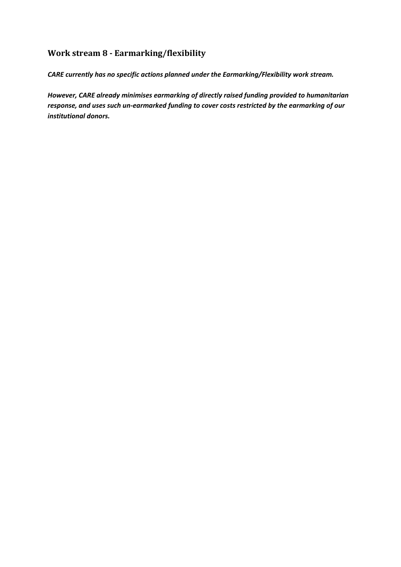## <span id="page-13-0"></span>**Work stream 8 - Earmarking/flexibility**

*CARE currently has no specific actions planned under the Earmarking/Flexibility work stream.* 

*However, CARE already minimises earmarking of directly raised funding provided to humanitarian response, and uses such un-earmarked funding to cover costs restricted by the earmarking of our institutional donors.*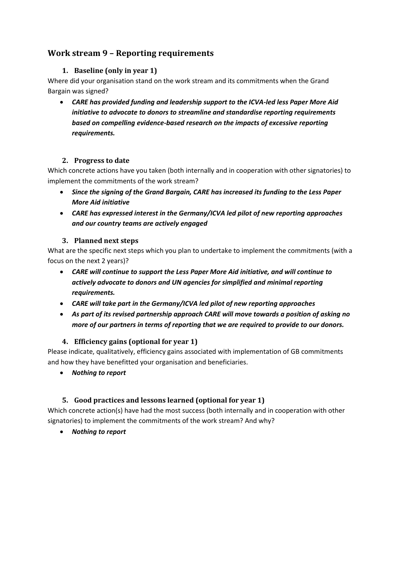### <span id="page-14-1"></span><span id="page-14-0"></span>**Work stream 9 – Reporting requirements**

#### **1. Baseline (only in year 1)**

Where did your organisation stand on the work stream and its commitments when the Grand Bargain was signed?

 *CARE has provided funding and leadership support to the ICVA-led less Paper More Aid initiative to advocate to donors to streamline and standardise reporting requirements based on compelling evidence-based research on the impacts of excessive reporting requirements.*

#### **2. Progress to date**

<span id="page-14-2"></span>Which concrete actions have you taken (both internally and in cooperation with other signatories) to implement the commitments of the work stream?

- *Since the signing of the Grand Bargain, CARE has increased its funding to the Less Paper More Aid initiative*
- *CARE has expressed interest in the Germany/ICVA led pilot of new reporting approaches and our country teams are actively engaged*

#### **3. Planned next steps**

<span id="page-14-3"></span>What are the specific next steps which you plan to undertake to implement the commitments (with a focus on the next 2 years)?

- *CARE will continue to support the Less Paper More Aid initiative, and will continue to actively advocate to donors and UN agencies for simplified and minimal reporting requirements.*
- *CARE will take part in the Germany/ICVA led pilot of new reporting approaches*
- *As part of its revised partnership approach CARE will move towards a position of asking no more of our partners in terms of reporting that we are required to provide to our donors.*

#### **4. Efficiency gains (optional for year 1)**

<span id="page-14-4"></span>Please indicate, qualitatively, efficiency gains associated with implementation of GB commitments and how they have benefitted your organisation and beneficiaries.

*Nothing to report*

#### **5. Good practices and lessons learned (optional for year 1)**

<span id="page-14-5"></span>Which concrete action(s) have had the most success (both internally and in cooperation with other signatories) to implement the commitments of the work stream? And why?

*Nothing to report*